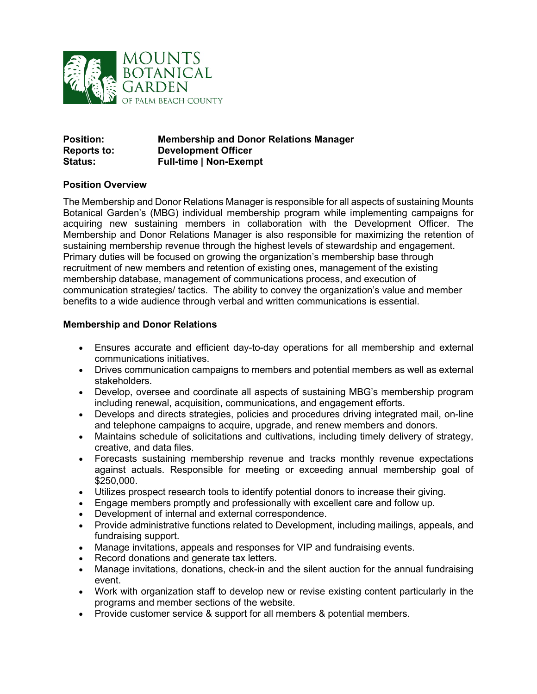

| <b>Position:</b>   | <b>Membership and Donor Relations Manager</b> |
|--------------------|-----------------------------------------------|
| <b>Reports to:</b> | <b>Development Officer</b>                    |
| <b>Status:</b>     | <b>Full-time   Non-Exempt</b>                 |

## **Position Overview**

The Membership and Donor Relations Manager is responsible for all aspects of sustaining Mounts Botanical Garden's (MBG) individual membership program while implementing campaigns for acquiring new sustaining members in collaboration with the Development Officer. The Membership and Donor Relations Manager is also responsible for maximizing the retention of sustaining membership revenue through the highest levels of stewardship and engagement. Primary duties will be focused on growing the organization's membership base through recruitment of new members and retention of existing ones, management of the existing membership database, management of communications process, and execution of communication strategies/ tactics. The ability to convey the organization's value and member benefits to a wide audience through verbal and written communications is essential.

# **Membership and Donor Relations**

- Ensures accurate and efficient day-to-day operations for all membership and external communications initiatives.
- Drives communication campaigns to members and potential members as well as external stakeholders.
- Develop, oversee and coordinate all aspects of sustaining MBG's membership program including renewal, acquisition, communications, and engagement efforts.
- Develops and directs strategies, policies and procedures driving integrated mail, on-line and telephone campaigns to acquire, upgrade, and renew members and donors.
- Maintains schedule of solicitations and cultivations, including timely delivery of strategy, creative, and data files.
- Forecasts sustaining membership revenue and tracks monthly revenue expectations against actuals. Responsible for meeting or exceeding annual membership goal of \$250,000.
- Utilizes prospect research tools to identify potential donors to increase their giving.
- Engage members promptly and professionally with excellent care and follow up.
- Development of internal and external correspondence.
- Provide administrative functions related to Development, including mailings, appeals, and fundraising support.
- Manage invitations, appeals and responses for VIP and fundraising events.
- Record donations and generate tax letters.
- Manage invitations, donations, check-in and the silent auction for the annual fundraising event.
- Work with organization staff to develop new or revise existing content particularly in the programs and member sections of the website.
- Provide customer service & support for all members & potential members.